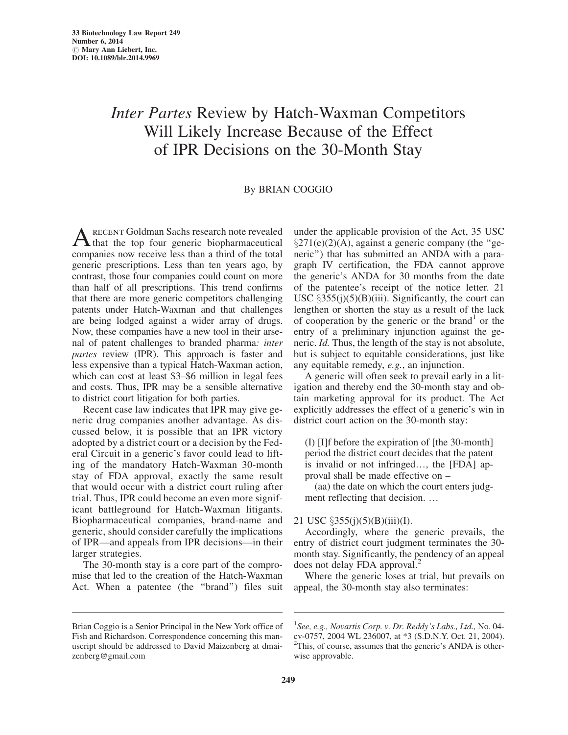## Inter Partes Review by Hatch-Waxman Competitors Will Likely Increase Because of the Effect of IPR Decisions on the 30-Month Stay

## By BRIAN COGGIO

Arecent Goldman Sachs research note revealed that the top four generic biopharmaceutical companies now receive less than a third of the total generic prescriptions. Less than ten years ago, by contrast, those four companies could count on more than half of all prescriptions. This trend confirms that there are more generic competitors challenging patents under Hatch-Waxman and that challenges are being lodged against a wider array of drugs. Now, these companies have a new tool in their arsenal of patent challenges to branded pharma: inter partes review (IPR). This approach is faster and less expensive than a typical Hatch-Waxman action, which can cost at least \$3–\$6 million in legal fees and costs. Thus, IPR may be a sensible alternative to district court litigation for both parties.

Recent case law indicates that IPR may give generic drug companies another advantage. As discussed below, it is possible that an IPR victory adopted by a district court or a decision by the Federal Circuit in a generic's favor could lead to lifting of the mandatory Hatch-Waxman 30-month stay of FDA approval, exactly the same result that would occur with a district court ruling after trial. Thus, IPR could become an even more significant battleground for Hatch-Waxman litigants. Biopharmaceutical companies, brand-name and generic, should consider carefully the implications of IPR—and appeals from IPR decisions—in their larger strategies.

The 30-month stay is a core part of the compromise that led to the creation of the Hatch-Waxman Act. When a patentee (the ''brand'') files suit

under the applicable provision of the Act, 35 USC  $\S271(e)(2)(A)$ , against a generic company (the "generic'') that has submitted an ANDA with a paragraph IV certification, the FDA cannot approve the generic's ANDA for 30 months from the date of the patentee's receipt of the notice letter. 21 USC  $\S 355(j)(5)(B)(iii)$ . Significantly, the court can lengthen or shorten the stay as a result of the lack of cooperation by the generic or the brand<sup>1</sup> or the entry of a preliminary injunction against the generic. Id. Thus, the length of the stay is not absolute, but is subject to equitable considerations, just like any equitable remedy, e.g., an injunction.

A generic will often seek to prevail early in a litigation and thereby end the 30-month stay and obtain marketing approval for its product. The Act explicitly addresses the effect of a generic's win in district court action on the 30-month stay:

(I) [I]f before the expiration of [the 30-month] period the district court decides that the patent is invalid or not infringed..., the [FDA] approval shall be made effective on –

(aa) the date on which the court enters judgment reflecting that decision. ...

## 21 USC  $\S 355(j)(5)(B)(iii)(I).$

Accordingly, where the generic prevails, the entry of district court judgment terminates the 30 month stay. Significantly, the pendency of an appeal does not delay FDA approval.<sup>2</sup>

Where the generic loses at trial, but prevails on appeal, the 30-month stay also terminates:

Brian Coggio is a Senior Principal in the New York office of Fish and Richardson. Correspondence concerning this manuscript should be addressed to David Maizenberg at dmaizenberg@gmail.com

<sup>&</sup>lt;sup>1</sup>See, e.g., Novartis Corp. v. Dr. Reddy's Labs., Ltd., No. 04cv-0757, 2004 WL 236007, at \*3 (S.D.N.Y. Oct. 21, 2004). <sup>2</sup>This, of course, assumes that the generic's ANDA is otherwise approvable.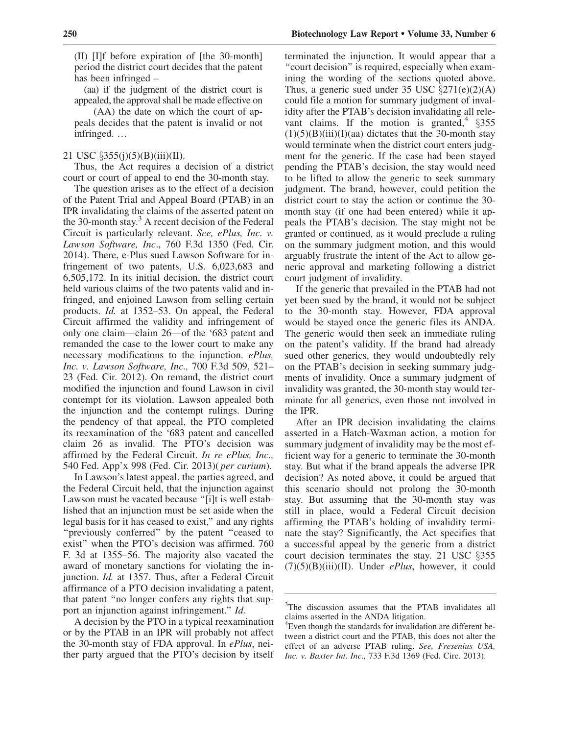(II) [I]f before expiration of [the 30-month] period the district court decides that the patent has been infringed –

(aa) if the judgment of the district court is appealed, the approval shall be made effective on

(AA) the date on which the court of appeals decides that the patent is invalid or not infringed...

## 21 USC  $\S 355(j)(5)(B)(iii)(II)$ .

Thus, the Act requires a decision of a district court or court of appeal to end the 30-month stay.

The question arises as to the effect of a decision of the Patent Trial and Appeal Board (PTAB) in an IPR invalidating the claims of the asserted patent on the 30-month stay. $3$  A recent decision of the Federal Circuit is particularly relevant. See, ePlus, Inc. v. Lawson Software, Inc., 760 F.3d 1350 (Fed. Cir. 2014). There, e-Plus sued Lawson Software for infringement of two patents, U.S. 6,023,683 and 6,505,172. In its initial decision, the district court held various claims of the two patents valid and infringed, and enjoined Lawson from selling certain products. Id. at 1352–53. On appeal, the Federal Circuit affirmed the validity and infringement of only one claim—claim 26—of the '683 patent and remanded the case to the lower court to make any necessary modifications to the injunction. ePlus, Inc. v. Lawson Software, Inc., 700 F.3d 509, 521– 23 (Fed. Cir. 2012). On remand, the district court modified the injunction and found Lawson in civil contempt for its violation. Lawson appealed both the injunction and the contempt rulings. During the pendency of that appeal, the PTO completed its reexamination of the '683 patent and cancelled claim 26 as invalid. The PTO's decision was affirmed by the Federal Circuit. In re ePlus, Inc., 540 Fed. App'x 998 (Fed. Cir. 2013)( per curium).

In Lawson's latest appeal, the parties agreed, and the Federal Circuit held, that the injunction against Lawson must be vacated because "[i]t is well established that an injunction must be set aside when the legal basis for it has ceased to exist,'' and any rights "previously conferred" by the patent "ceased to exist'' when the PTO's decision was affirmed. 760 F. 3d at 1355–56. The majority also vacated the award of monetary sanctions for violating the injunction. Id. at 1357. Thus, after a Federal Circuit affirmance of a PTO decision invalidating a patent, that patent ''no longer confers any rights that support an injunction against infringement.'' Id.

A decision by the PTO in a typical reexamination or by the PTAB in an IPR will probably not affect the 30-month stay of FDA approval. In ePlus, neither party argued that the PTO's decision by itself terminated the injunction. It would appear that a "court decision" is required, especially when examining the wording of the sections quoted above. Thus, a generic sued under 35 USC  $\S 271(e)(2)(A)$ could file a motion for summary judgment of invalidity after the PTAB's decision invalidating all relevant claims. If the motion is granted,  $§$ 355  $(1)(5)(B)(iii)(I)(aa)$  dictates that the 30-month stay would terminate when the district court enters judgment for the generic. If the case had been stayed pending the PTAB's decision, the stay would need to be lifted to allow the generic to seek summary judgment. The brand, however, could petition the district court to stay the action or continue the 30 month stay (if one had been entered) while it appeals the PTAB's decision. The stay might not be granted or continued, as it would preclude a ruling on the summary judgment motion, and this would arguably frustrate the intent of the Act to allow generic approval and marketing following a district court judgment of invalidity.

If the generic that prevailed in the PTAB had not yet been sued by the brand, it would not be subject to the 30-month stay. However, FDA approval would be stayed once the generic files its ANDA. The generic would then seek an immediate ruling on the patent's validity. If the brand had already sued other generics, they would undoubtedly rely on the PTAB's decision in seeking summary judgments of invalidity. Once a summary judgment of invalidity was granted, the 30-month stay would terminate for all generics, even those not involved in the IPR.

After an IPR decision invalidating the claims asserted in a Hatch-Waxman action, a motion for summary judgment of invalidity may be the most efficient way for a generic to terminate the 30-month stay. But what if the brand appeals the adverse IPR decision? As noted above, it could be argued that this scenario should not prolong the 30-month stay. But assuming that the 30-month stay was still in place, would a Federal Circuit decision affirming the PTAB's holding of invalidity terminate the stay? Significantly, the Act specifies that a successful appeal by the generic from a district court decision terminates the stay. 21 USC  $\S 355$  $(7)(5)(B)(iii)(II)$ . Under *ePlus*, however, it could

<sup>&</sup>lt;sup>3</sup>The discussion assumes that the PTAB invalidates all claims asserted in the ANDA litigation.

<sup>&</sup>lt;sup>4</sup> Even though the standards for invalidation are different between a district court and the PTAB, this does not alter the effect of an adverse PTAB ruling. See, Fresenius USA, Inc. v. Baxter Int. Inc., 733 F.3d 1369 (Fed. Circ. 2013).